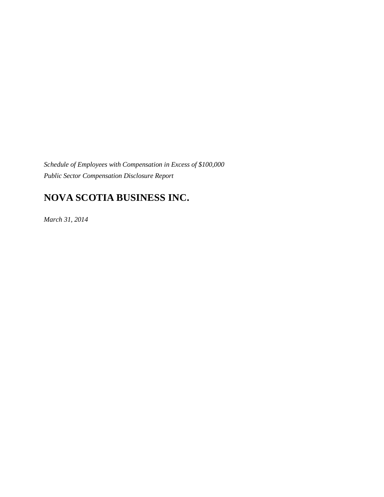*Schedule of Employees with Compensation in Excess of \$100,000 Public Sector Compensation Disclosure Report*

# **NOVA SCOTIA BUSINESS INC.**

*March 31, 2014*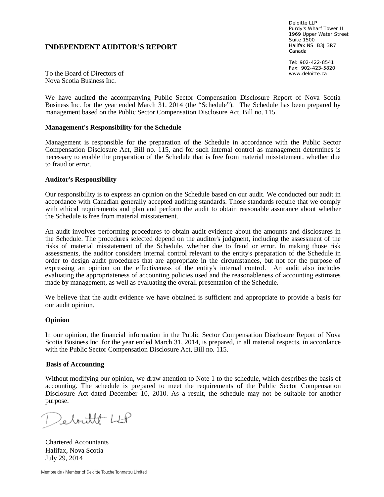### **INDEPENDENT AUDITOR'S REPORT**

Deloitte LLP Purdy's Wharf Tower II 1969 Upper Water Street Suite 1500 Halifax NS B3J 3R7 Canada

Tel: 902-422-8541 Fax: 902-423-5820 www.deloitte.ca

To the Board of Directors of Nova Scotia Business Inc.

We have audited the accompanying Public Sector Compensation Disclosure Report of Nova Scotia Business Inc. for the year ended March 31, 2014 (the "Schedule"). The Schedule has been prepared by management based on the Public Sector Compensation Disclosure Act, Bill no. 115.

### **Management's Responsibility for the Schedule**

Management is responsible for the preparation of the Schedule in accordance with the Public Sector Compensation Disclosure Act, Bill no. 115, and for such internal control as management determines is necessary to enable the preparation of the Schedule that is free from material misstatement, whether due to fraud or error.

### **Auditor's Responsibility**

Our responsibility is to express an opinion on the Schedule based on our audit. We conducted our audit in accordance with Canadian generally accepted auditing standards. Those standards require that we comply with ethical requirements and plan and perform the audit to obtain reasonable assurance about whether the Schedule is free from material misstatement.

An audit involves performing procedures to obtain audit evidence about the amounts and disclosures in the Schedule. The procedures selected depend on the auditor's judgment, including the assessment of the risks of material misstatement of the Schedule, whether due to fraud or error. In making those risk assessments, the auditor considers internal control relevant to the entity's preparation of the Schedule in order to design audit procedures that are appropriate in the circumstances, but not for the purpose of expressing an opinion on the effectiveness of the entity's internal control. An audit also includes evaluating the appropriateness of accounting policies used and the reasonableness of accounting estimates made by management, as well as evaluating the overall presentation of the Schedule.

We believe that the audit evidence we have obtained is sufficient and appropriate to provide a basis for our audit opinion.

#### **Opinion**

In our opinion, the financial information in the Public Sector Compensation Disclosure Report of Nova Scotia Business Inc. for the year ended March 31, 2014, is prepared, in all material respects, in accordance with the Public Sector Compensation Disclosure Act, Bill no. 115.

#### **Basis of Accounting**

Without modifying our opinion, we draw attention to Note 1 to the schedule, which describes the basis of accounting. The schedule is prepared to meet the requirements of the Public Sector Compensation Disclosure Act dated December 10, 2010. As a result, the schedule may not be suitable for another purpose.

Deboutte LLP

Chartered Accountants Halifax, Nova Scotia July 29, 2014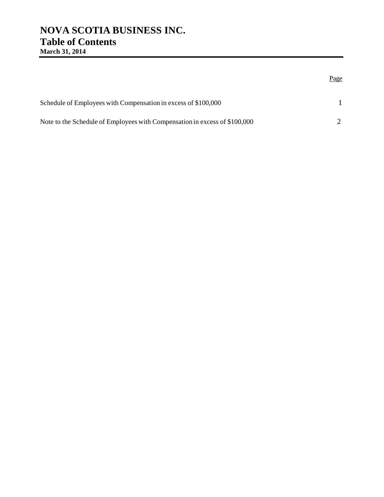## **NOVA SCOTIA BUSINESS INC. Table of Contents March 31, 2014**

## Page

| Schedule of Employees with Compensation in excess of \$100,000             |  |
|----------------------------------------------------------------------------|--|
| Note to the Schedule of Employees with Compensation in excess of \$100,000 |  |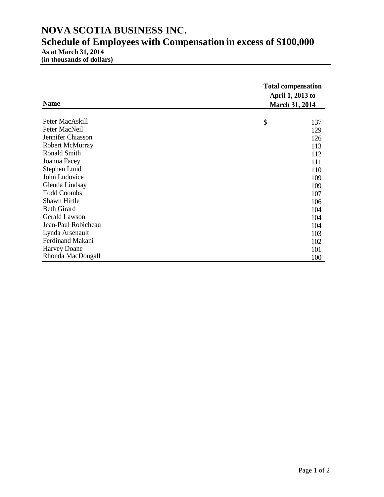# **NOVA SCOTIA BUSINESS INC. Schedule of Employees with Compensation in excess of \$100,000 As at March 31, 2014**

**(in thousands of dollars)**

| <b>Name</b>            | <b>Total compensation</b><br>April 1, 2013 to<br><b>March 31, 2014</b> |
|------------------------|------------------------------------------------------------------------|
|                        |                                                                        |
| Peter MacAskill        | \$<br>137                                                              |
| Peter MacNeil          | 129                                                                    |
| Jennifer Chiasson      | 126                                                                    |
| <b>Robert McMurray</b> | 113                                                                    |
| <b>Ronald Smith</b>    | 112                                                                    |
| Joanna Facey           | 111                                                                    |
| Stephen Lund           | 110                                                                    |
| John Ludovice          | 109                                                                    |
| Glenda Lindsay         | 109                                                                    |
| <b>Todd Coombs</b>     | 107                                                                    |
| Shawn Hirtle           | 106                                                                    |
| <b>Beth Girard</b>     | 104                                                                    |
| <b>Gerald Lawson</b>   | 104                                                                    |
| Jean-Paul Robicheau    | 104                                                                    |
| Lynda Arsenault        | 103                                                                    |
| Ferdinand Makani       | 102                                                                    |
| <b>Harvey Doane</b>    | 101                                                                    |
| Rhonda MacDougall      | 100                                                                    |